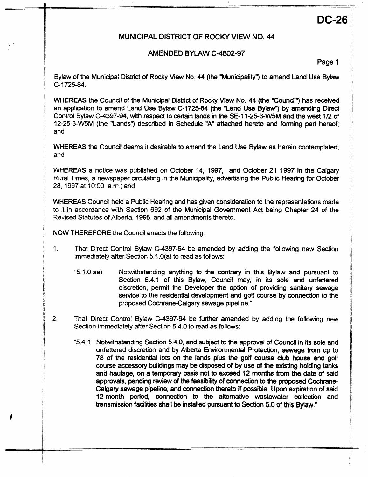# **DG26**

## **MUNICIPAL DISTRICT OF ROCKY VIEW NO. 44**

## **AMENDED BYLAW C-4802-97**

**Page 1** 

Bylaw of the Municipal District of Rocky View **No.** 44 (the "Municipality") to amend Land Use **Bytaw**  C-1725-84.

WHEREAS the Council of the Municipal District of Rocky View No. 44 (the "Council") has received an application to amend Land Use Bylaw **C-172584** (the "Land Use **BylaW)** by amending Dired Control Bylaw C-4397-94, with respect to certain lands in the SE-11-25-3-W5M and the west 1/2 of **12-25-3-W5M** (the "Lands") described in Schedule "A" attached hereto and forming part hereof; and

WHEREAS the Council deems **it** desirable to amend the Land Use **Bylaw** as herein contemplated; and

WHEREAS a notice was published on October 14, 1997, and October 21 1997 in the Calgary Rural Times, a newspaper circulating in the Municipality, advertising the Public Hearing for October 28, 1997 at 1O:OO a.m.; and

WHEREAS Council held a Public Hearing and has given consideration to the representations made to it in accordance with Section 692 of the Municipal Government Act being Chapter 24 of the Revised Statutes of Alberta, 1995, and all amendments thereto.

NOW THEREFORE the Council enacts the following:

- 1. That Direct Control Bylaw C-4397-94 be amended by adding the following new Section immediately after Section 5.1 **.O(a)** to read as follows:
	- **"5.1.O.aa)** Notwithstanding anything to the contrary in this Bylaw and pursuant to Section 5.4.1 of this Bylaw, Council may, in its sole and unfettered discretion, permit the Developer the option of providing sanitary sewage service to **the** residential devefopment and **gotf** course by connection to the proposed Cochrane-Calgary sewage pipeline."
- **2.** That Direct Control Bylaw **C-4397-94** be further amended by adding the following new Section immediately after Section 5.4.0 to read as follows:
	- **"5.4.1** Notwithstanding Section **5.4.0,** and subject to the approval of Counal in its sole and unfettered discretion and by Alberta Environmental Pmtection, sewage **from up** to 78 of the residential lots on the lands plus the **gotf** course club house and golf course accessory buildings may be disposed of by use of **the** existing holding tanks and haulage, on a temporary basis not to *exceed* 12 months **from the** date of said approvals, pending review of the feasibility of connection to the **proposed** Cochrane-Calgary sewage pipeline, and connection thereto if possible. Upon expiration of said 12-month period, connection to the alternative wastewater collection and transmission **faalies** shall **be installed pursuant to Section 5.0** of **this** *Bylaw."*